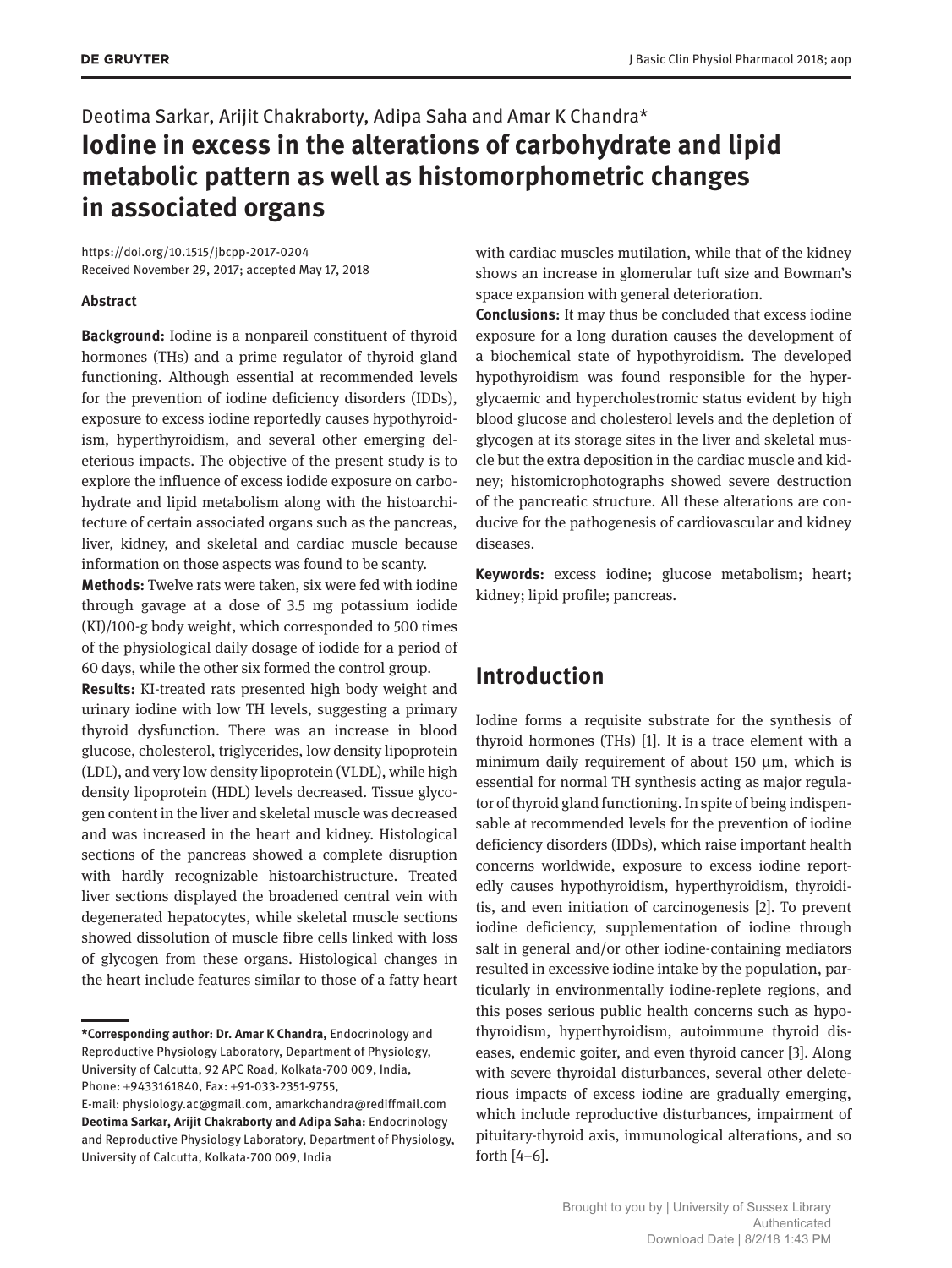# Deotima Sarkar, Arijit Chakraborty, Adipa Saha and Amar K Chandra\* **Iodine in excess in the alterations of carbohydrate and lipid metabolic pattern as well as histomorphometric changes in associated organs**

https://doi.org/10.1515/jbcpp-2017-0204 Received November 29, 2017; accepted May 17, 2018

### **Abstract**

**Background:** Iodine is a nonpareil constituent of thyroid hormones (THs) and a prime regulator of thyroid gland functioning. Although essential at recommended levels for the prevention of iodine deficiency disorders (IDDs), exposure to excess iodine reportedly causes hypothyroidism, hyperthyroidism, and several other emerging deleterious impacts. The objective of the present study is to explore the influence of excess iodide exposure on carbohydrate and lipid metabolism along with the histoarchitecture of certain associated organs such as the pancreas, liver, kidney, and skeletal and cardiac muscle because information on those aspects was found to be scanty.

**Methods:** Twelve rats were taken, six were fed with iodine through gavage at a dose of 3.5 mg potassium iodide (KI)/100-g body weight, which corresponded to 500 times of the physiological daily dosage of iodide for a period of 60 days, while the other six formed the control group.

**Results:** KI-treated rats presented high body weight and urinary iodine with low TH levels, suggesting a primary thyroid dysfunction. There was an increase in blood glucose, cholesterol, triglycerides, low density lipoprotein (LDL), and very low density lipoprotein (VLDL), while high density lipoprotein (HDL) levels decreased. Tissue glycogen content in the liver and skeletal muscle was decreased and was increased in the heart and kidney. Histological sections of the pancreas showed a complete disruption with hardly recognizable histoarchistructure. Treated liver sections displayed the broadened central vein with degenerated hepatocytes, while skeletal muscle sections showed dissolution of muscle fibre cells linked with loss of glycogen from these organs. Histological changes in the heart include features similar to those of a fatty heart

with cardiac muscles mutilation, while that of the kidney shows an increase in glomerular tuft size and Bowman's space expansion with general deterioration.

**Conclusions:** It may thus be concluded that excess iodine exposure for a long duration causes the development of a biochemical state of hypothyroidism. The developed hypothyroidism was found responsible for the hyperglycaemic and hypercholestromic status evident by high blood glucose and cholesterol levels and the depletion of glycogen at its storage sites in the liver and skeletal muscle but the extra deposition in the cardiac muscle and kidney; histomicrophotographs showed severe destruction of the pancreatic structure. All these alterations are conducive for the pathogenesis of cardiovascular and kidney diseases.

**Keywords:** excess iodine; glucose metabolism; heart; kidney; lipid profile; pancreas.

# **Introduction**

Iodine forms a requisite substrate for the synthesis of thyroid hormones (THs) [1]. It is a trace element with a minimum daily requirement of about 150 µm, which is essential for normal TH synthesis acting as major regulator of thyroid gland functioning. In spite of being indispensable at recommended levels for the prevention of iodine deficiency disorders (IDDs), which raise important health concerns worldwide, exposure to excess iodine reportedly causes hypothyroidism, hyperthyroidism, thyroiditis, and even initiation of carcinogenesis [2]. To prevent iodine deficiency, supplementation of iodine through salt in general and/or other iodine-containing mediators resulted in excessive iodine intake by the population, particularly in environmentally iodine-replete regions, and this poses serious public health concerns such as hypothyroidism, hyperthyroidism, autoimmune thyroid diseases, endemic goiter, and even thyroid cancer [3]. Along with severe thyroidal disturbances, several other deleterious impacts of excess iodine are gradually emerging, which include reproductive disturbances, impairment of pituitary-thyroid axis, immunological alterations, and so forth [4–6].

**<sup>\*</sup>Corresponding author: Dr. Amar K Chandra,** Endocrinology and Reproductive Physiology Laboratory, Department of Physiology, University of Calcutta, 92 APC Road, Kolkata-700 009, India, Phone: +9433161840, Fax: +91-033-2351-9755,

E-mail: physiology.ac@gmail.com, amarkchandra@rediffmail.com **Deotima Sarkar, Arijit Chakraborty and Adipa Saha:** Endocrinology and Reproductive Physiology Laboratory, Department of Physiology, University of Calcutta, Kolkata-700 009, India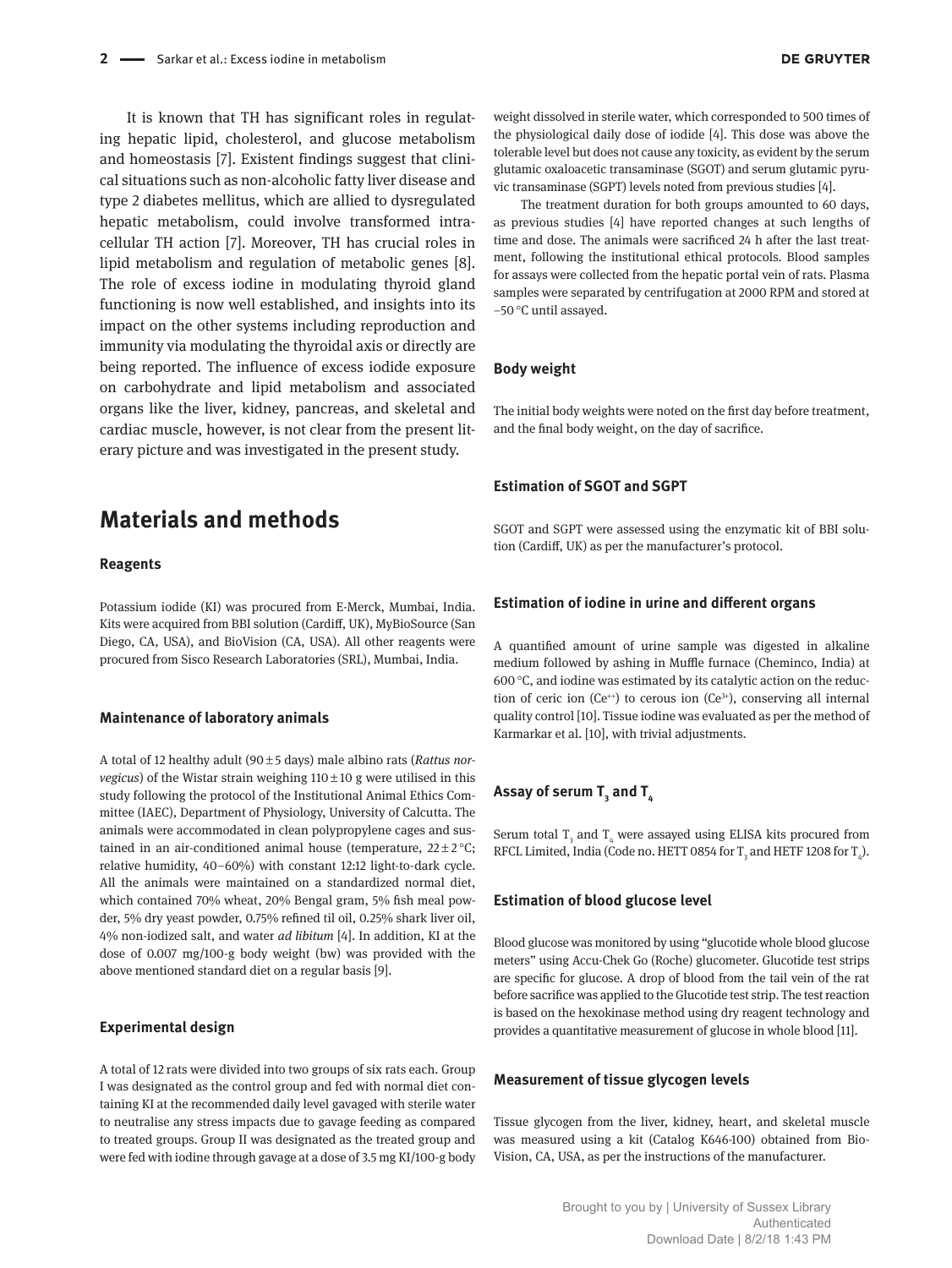It is known that TH has significant roles in regulating hepatic lipid, cholesterol, and glucose metabolism and homeostasis [7]. Existent findings suggest that clinical situations such as non-alcoholic fatty liver disease and type 2 diabetes mellitus, which are allied to dysregulated hepatic metabolism, could involve transformed intracellular TH action [7]. Moreover, TH has crucial roles in lipid metabolism and regulation of metabolic genes [8]. The role of excess iodine in modulating thyroid gland functioning is now well established, and insights into its impact on the other systems including reproduction and immunity via modulating the thyroidal axis or directly are being reported. The influence of excess iodide exposure on carbohydrate and lipid metabolism and associated organs like the liver, kidney, pancreas, and skeletal and cardiac muscle, however, is not clear from the present literary picture and was investigated in the present study.

# **Materials and methods**

### **Reagents**

Potassium iodide (KI) was procured from E-Merck, Mumbai, India. Kits were acquired from BBI solution (Cardiff, UK), MyBioSource (San Diego, CA, USA), and BioVision (CA, USA). All other reagents were procured from Sisco Research Laboratories (SRL), Mumbai, India.

#### **Maintenance of laboratory animals**

A total of 12 healthy adult (90 ± 5 days) male albino rats (*Rattus norvegicus*) of the Wistar strain weighing  $110±10$  g were utilised in this study following the protocol of the Institutional Animal Ethics Committee (IAEC), Department of Physiology, University of Calcutta. The animals were accommodated in clean polypropylene cages and sustained in an air-conditioned animal house (temperature,  $22 \pm 2^{\circ}$ C; relative humidity, 40–60%) with constant 12:12 light-to-dark cycle. All the animals were maintained on a standardized normal diet, which contained 70% wheat, 20% Bengal gram, 5% fish meal powder, 5% dry yeast powder, 0.75% refined til oil, 0.25% shark liver oil, 4% non-iodized salt, and water *ad libitum* [4]. In addition, KI at the dose of 0.007 mg/100-g body weight (bw) was provided with the above mentioned standard diet on a regular basis [9].

### **Experimental design**

A total of 12 rats were divided into two groups of six rats each. Group I was designated as the control group and fed with normal diet containing KI at the recommended daily level gavaged with sterile water to neutralise any stress impacts due to gavage feeding as compared to treated groups. Group II was designated as the treated group and were fed with iodine through gavage at a dose of 3.5 mg KI/100-g body

weight dissolved in sterile water, which corresponded to 500 times of the physiological daily dose of iodide [4]. This dose was above the tolerable level but does not cause any toxicity, as evident by the serum glutamic oxaloacetic transaminase (SGOT) and serum glutamic pyruvic transaminase (SGPT) levels noted from previous studies [4].

The treatment duration for both groups amounted to 60 days, as previous studies [4] have reported changes at such lengths of time and dose. The animals were sacrificed 24 h after the last treatment, following the institutional ethical protocols. Blood samples for assays were collected from the hepatic portal vein of rats. Plasma samples were separated by centrifugation at 2000 RPM and stored at −50 °C until assayed.

### **Body weight**

The initial body weights were noted on the first day before treatment, and the final body weight, on the day of sacrifice.

### **Estimation of SGOT and SGPT**

SGOT and SGPT were assessed using the enzymatic kit of BBI solution (Cardiff, UK) as per the manufacturer's protocol.

### **Estimation of iodine in urine and different organs**

A quantified amount of urine sample was digested in alkaline medium followed by ashing in Muffle furnace (Cheminco, India) at 600 °C, and iodine was estimated by its catalytic action on the reduction of ceric ion (Ce<sup>++</sup>) to cerous ion (Ce<sup>3+</sup>), conserving all internal quality control [10]. Tissue iodine was evaluated as per the method of Karmarkar et al. [10], with trivial adjustments.

### **Assay of serum T<sup>3</sup> and T<sup>4</sup>**

Serum total  $T_3$  and  $T_4$  were assayed using ELISA kits procured from RFCL Limited, India (Code no. HETT 0854 for T<sub>3</sub> and HETF 1208 for T<sub>4</sub>).

#### **Estimation of blood glucose level**

Blood glucose was monitored by using "glucotide whole blood glucose meters" using Accu-Chek Go (Roche) glucometer. Glucotide test strips are specific for glucose. A drop of blood from the tail vein of the rat before sacrifice was applied to the Glucotide test strip. The test reaction is based on the hexokinase method using dry reagent technology and provides a quantitative measurement of glucose in whole blood [11].

#### **Measurement of tissue glycogen levels**

Tissue glycogen from the liver, kidney, heart, and skeletal muscle was measured using a kit (Catalog K646-100) obtained from Bio-Vision, CA, USA, as per the instructions of the manufacturer.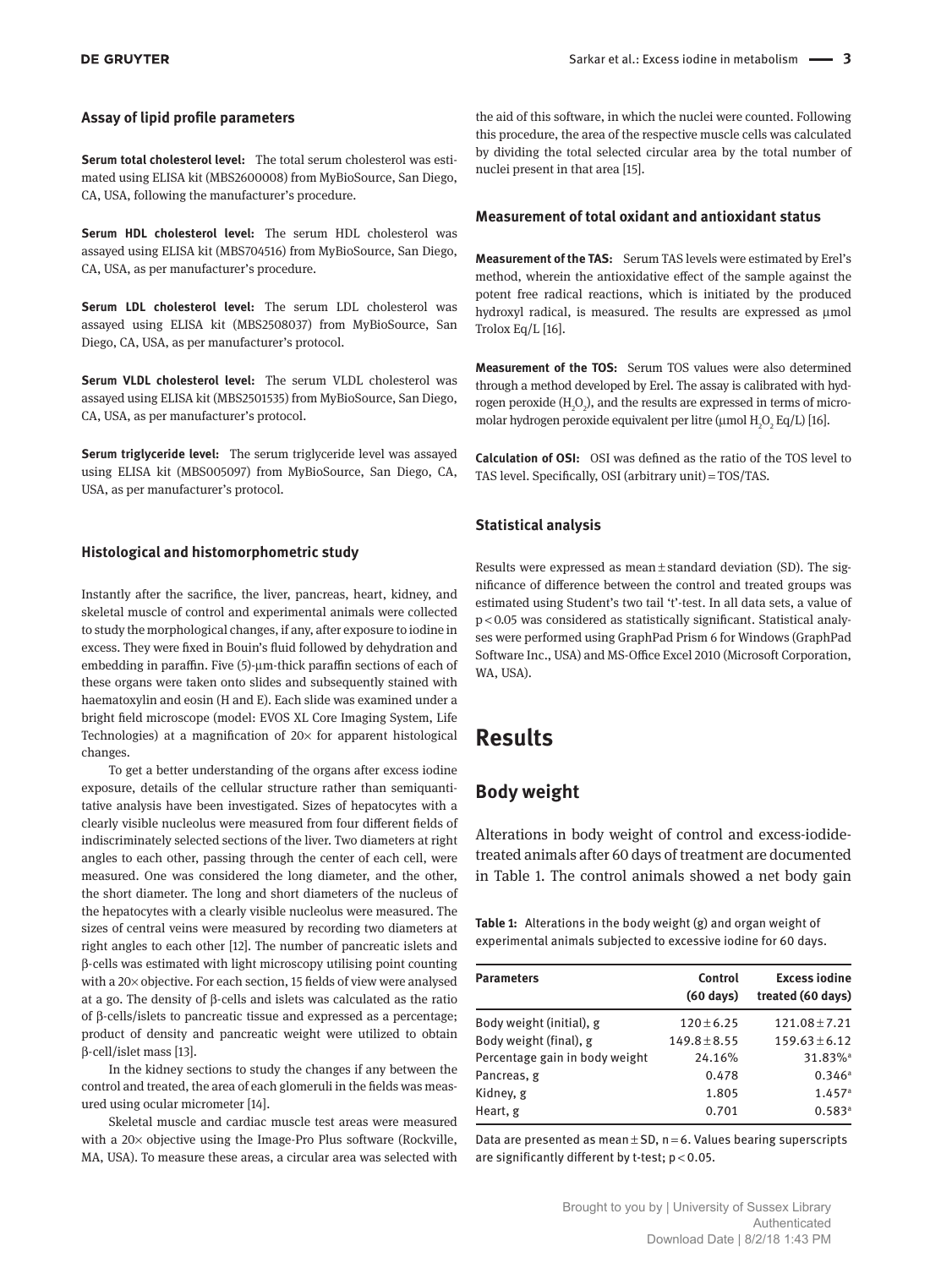### **Assay of lipid profile parameters**

**Serum total cholesterol level:** The total serum cholesterol was estimated using ELISA kit (MBS2600008) from MyBioSource, San Diego, CA, USA, following the manufacturer's procedure.

**Serum HDL cholesterol level:** The serum HDL cholesterol was assayed using ELISA kit (MBS704516) from MyBioSource, San Diego, CA, USA, as per manufacturer's procedure.

**Serum LDL cholesterol level:** The serum LDL cholesterol was assayed using ELISA kit (MBS2508037) from MyBioSource, San Diego, CA, USA, as per manufacturer's protocol.

**Serum VLDL cholesterol level:** The serum VLDL cholesterol was assayed using ELISA kit (MBS2501535) from MyBioSource, San Diego, CA, USA, as per manufacturer's protocol.

**Serum triglyceride level:** The serum triglyceride level was assayed using ELISA kit (MBS005097) from MyBioSource, San Diego, CA, USA, as per manufacturer's protocol.

#### **Histological and histomorphometric study**

Instantly after the sacrifice, the liver, pancreas, heart, kidney, and skeletal muscle of control and experimental animals were collected to study the morphological changes, if any, after exposure to iodine in excess. They were fixed in Bouin's fluid followed by dehydration and embedding in paraffin. Five (5)-µm-thick paraffin sections of each of these organs were taken onto slides and subsequently stained with haematoxylin and eosin (H and E). Each slide was examined under a bright field microscope (model: EVOS XL Core Imaging System, Life Technologies) at a magnification of  $20\times$  for apparent histological changes.

To get a better understanding of the organs after excess iodine exposure, details of the cellular structure rather than semiquantitative analysis have been investigated. Sizes of hepatocytes with a clearly visible nucleolus were measured from four different fields of indiscriminately selected sections of the liver. Two diameters at right angles to each other, passing through the center of each cell, were measured. One was considered the long diameter, and the other, the short diameter. The long and short diameters of the nucleus of the hepatocytes with a clearly visible nucleolus were measured. The sizes of central veins were measured by recording two diameters at right angles to each other [12]. The number of pancreatic islets and β-cells was estimated with light microscopy utilising point counting with a 20× objective. For each section, 15 fields of view were analysed at a go. The density of β-cells and islets was calculated as the ratio of β-cells/islets to pancreatic tissue and expressed as a percentage; product of density and pancreatic weight were utilized to obtain β-cell/islet mass [13].

In the kidney sections to study the changes if any between the control and treated, the area of each glomeruli in the fields was measured using ocular micrometer [14].

Skeletal muscle and cardiac muscle test areas were measured with a 20× objective using the Image-Pro Plus software (Rockville, MA, USA). To measure these areas, a circular area was selected with the aid of this software, in which the nuclei were counted. Following this procedure, the area of the respective muscle cells was calculated by dividing the total selected circular area by the total number of nuclei present in that area [15].

#### **Measurement of total oxidant and antioxidant status**

**Measurement of the TAS:** Serum TAS levels were estimated by Erel's method, wherein the antioxidative effect of the sample against the potent free radical reactions, which is initiated by the produced hydroxyl radical, is measured. The results are expressed as µmol Trolox Eq/L [16].

**Measurement of the TOS:** Serum TOS values were also determined through a method developed by Erel. The assay is calibrated with hydrogen peroxide  $(\mathrm{H}_2\mathrm{O}_2)$ , and the results are expressed in terms of micromolar hydrogen peroxide equivalent per litre (µmol  $\rm H_2O_2$  Eq/L) [16].

**Calculation of OSI:** OSI was defined as the ratio of the TOS level to TAS level. Specifically, OSI (arbitrary unit) = TOS/TAS.

#### **Statistical analysis**

Results were expressed as mean ± standard deviation (SD). The significance of difference between the control and treated groups was estimated using Student's two tail 't'-test. In all data sets, a value of p < 0.05 was considered as statistically significant. Statistical analyses were performed using GraphPad Prism 6 for Windows (GraphPad Software Inc., USA) and MS-Office Excel 2010 (Microsoft Corporation, WA, USA).

## **Results**

### **Body weight**

Alterations in body weight of control and excess-iodidetreated animals after 60 days of treatment are documented in Table 1. The control animals showed a net body gain

**Table 1:** Alterations in the body weight (g) and organ weight of experimental animals subjected to excessive iodine for 60 days.

| <b>Parameters</b>              | Control<br>$(60 \text{ days})$ | <b>Excess iodine</b><br>treated (60 days) |
|--------------------------------|--------------------------------|-------------------------------------------|
| Body weight (initial), g       | $120 \pm 6.25$                 | $121.08 \pm 7.21$                         |
| Body weight (final), g         | $149.8 \pm 8.55$               | $159.63 \pm 6.12$                         |
| Percentage gain in body weight | 24.16%                         | 31.83% <sup>a</sup>                       |
| Pancreas, g                    | 0.478                          | 0.346a                                    |
| Kidney, g                      | 1.805                          | $1.457$ <sup>a</sup>                      |
| Heart, g                       | 0.701                          | $0.583$ <sup>a</sup>                      |

Data are presented as mean $\pm$ SD, n = 6. Values bearing superscripts are significantly different by t-test; p < 0.05.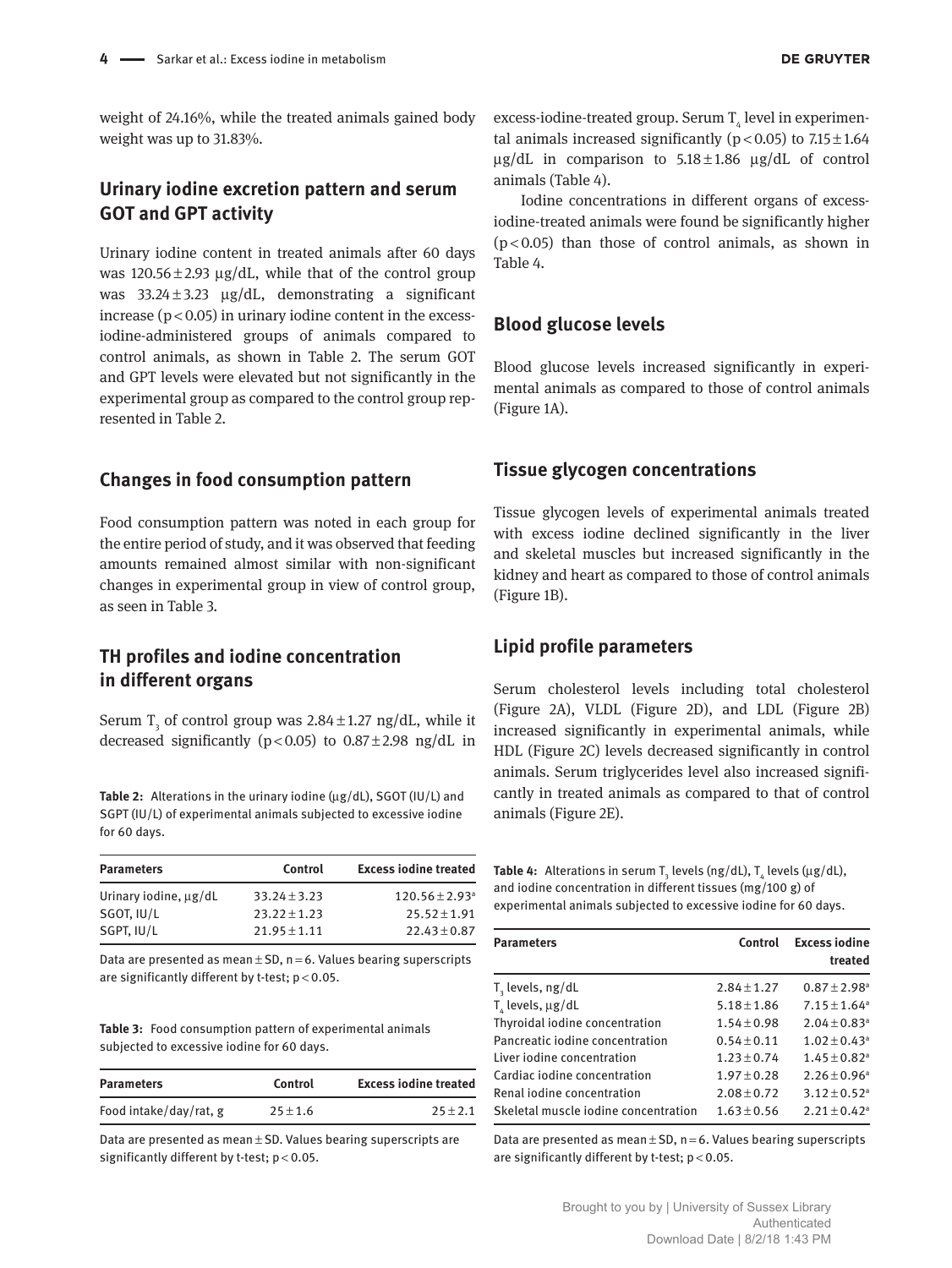weight of 24.16%, while the treated animals gained body weight was up to 31.83%.

### **Urinary iodine excretion pattern and serum GOT and GPT activity**

Urinary iodine content in treated animals after 60 days was  $120.56 \pm 2.93$  µg/dL, while that of the control group was  $33.24 \pm 3.23$   $\mu$ g/dL, demonstrating a significant increase  $(p < 0.05)$  in urinary iodine content in the excessiodine-administered groups of animals compared to control animals, as shown in Table 2. The serum GOT and GPT levels were elevated but not significantly in the experimental group as compared to the control group represented in Table 2.

### **Changes in food consumption pattern**

Food consumption pattern was noted in each group for the entire period of study, and it was observed that feeding amounts remained almost similar with non-significant changes in experimental group in view of control group, as seen in Table 3.

### **TH profiles and iodine concentration in different organs**

Serum T<sub>3</sub> of control group was  $2.84 \pm 1.27$  ng/dL, while it decreased significantly ( $p < 0.05$ ) to  $0.87 \pm 2.98$  ng/dL in

Table 2: Alterations in the urinary iodine (µg/dL), SGOT (IU/L) and SGPT (IU/L) of experimental animals subjected to excessive iodine for 60 days.

| <b>Parameters</b>     | Control          | <b>Excess jodine treated</b>   |
|-----------------------|------------------|--------------------------------|
| Urinary iodine, ug/dL | $33.24 \pm 3.23$ | $120.56 \pm 2.93$ <sup>a</sup> |
| SGOT, IU/L            | $23.22 \pm 1.23$ | $25.52 \pm 1.91$               |
| SGPT, IU/L            | $21.95 \pm 1.11$ | $22.43 \pm 0.87$               |

Data are presented as mean $\pm$ SD, n = 6. Values bearing superscripts are significantly different by t-test; p < 0.05.

**Table 3:** Food consumption pattern of experimental animals subjected to excessive iodine for 60 days.

| <b>Parameters</b>      | Control      | <b>Excess jodine treated</b> |
|------------------------|--------------|------------------------------|
| Food intake/day/rat, g | $25 \pm 1.6$ | $25 + 2.1$                   |

Data are presented as mean ± SD. Values bearing superscripts are significantly different by t-test; p < 0.05.

excess-iodine-treated group. Serum  $\mathrm{T}_4$  level in experimental animals increased significantly ( $p < 0.05$ ) to  $7.15 \pm 1.64$  $\mu$ g/dL in comparison to 5.18 $\pm$ 1.86  $\mu$ g/dL of control animals (Table 4).

Iodine concentrations in different organs of excessiodine-treated animals were found be significantly higher  $(p < 0.05)$  than those of control animals, as shown in Table 4.

### **Blood glucose levels**

Blood glucose levels increased significantly in experimental animals as compared to those of control animals (Figure 1A).

### **Tissue glycogen concentrations**

Tissue glycogen levels of experimental animals treated with excess iodine declined significantly in the liver and skeletal muscles but increased significantly in the kidney and heart as compared to those of control animals (Figure 1B).

### **Lipid profile parameters**

Serum cholesterol levels including total cholesterol (Figure 2A), VLDL (Figure 2D), and LDL (Figure 2B) increased significantly in experimental animals, while HDL (Figure 2C) levels decreased significantly in control animals. Serum triglycerides level also increased significantly in treated animals as compared to that of control animals (Figure 2E).

**Table 4:** Alterations in serum  $T_3$  levels (ng/dL),  $T_4$  levels ( $\mu$ g/dL), and iodine concentration in different tissues (mg/100 g) of experimental animals subjected to excessive iodine for 60 days.

| <b>Parameters</b>                    | Control         | <b>Excess jodine</b><br>treated |
|--------------------------------------|-----------------|---------------------------------|
| $T3$ levels, ng/dL                   | $2.84 \pm 1.27$ | $0.87 \pm 2.98^a$               |
| $T_{\mu}$ levels, $\mu$ g/dL         | $5.18 \pm 1.86$ | $7.15 \pm 1.64^a$               |
| Thyroidal iodine concentration       | $1.54 \pm 0.98$ | $2.04 \pm 0.83$ <sup>a</sup>    |
| Pancreatic iodine concentration      | $0.54 \pm 0.11$ | $1.02 \pm 0.43$ <sup>a</sup>    |
| Liver iodine concentration           | $1.23 \pm 0.74$ | $1.45 \pm 0.82$ <sup>a</sup>    |
| Cardiac iodine concentration         | $1.97 \pm 0.28$ | $2.26 \pm 0.96^a$               |
| Renal jodine concentration           | $2.08 \pm 0.72$ | $3.12 \pm 0.52$ <sup>a</sup>    |
| Skeletal muscle jodine concentration | $1.63 \pm 0.56$ | $2.21 \pm 0.42$ <sup>a</sup>    |

Data are presented as mean $\pm$ SD, n = 6. Values bearing superscripts are significantly different by t-test; p < 0.05.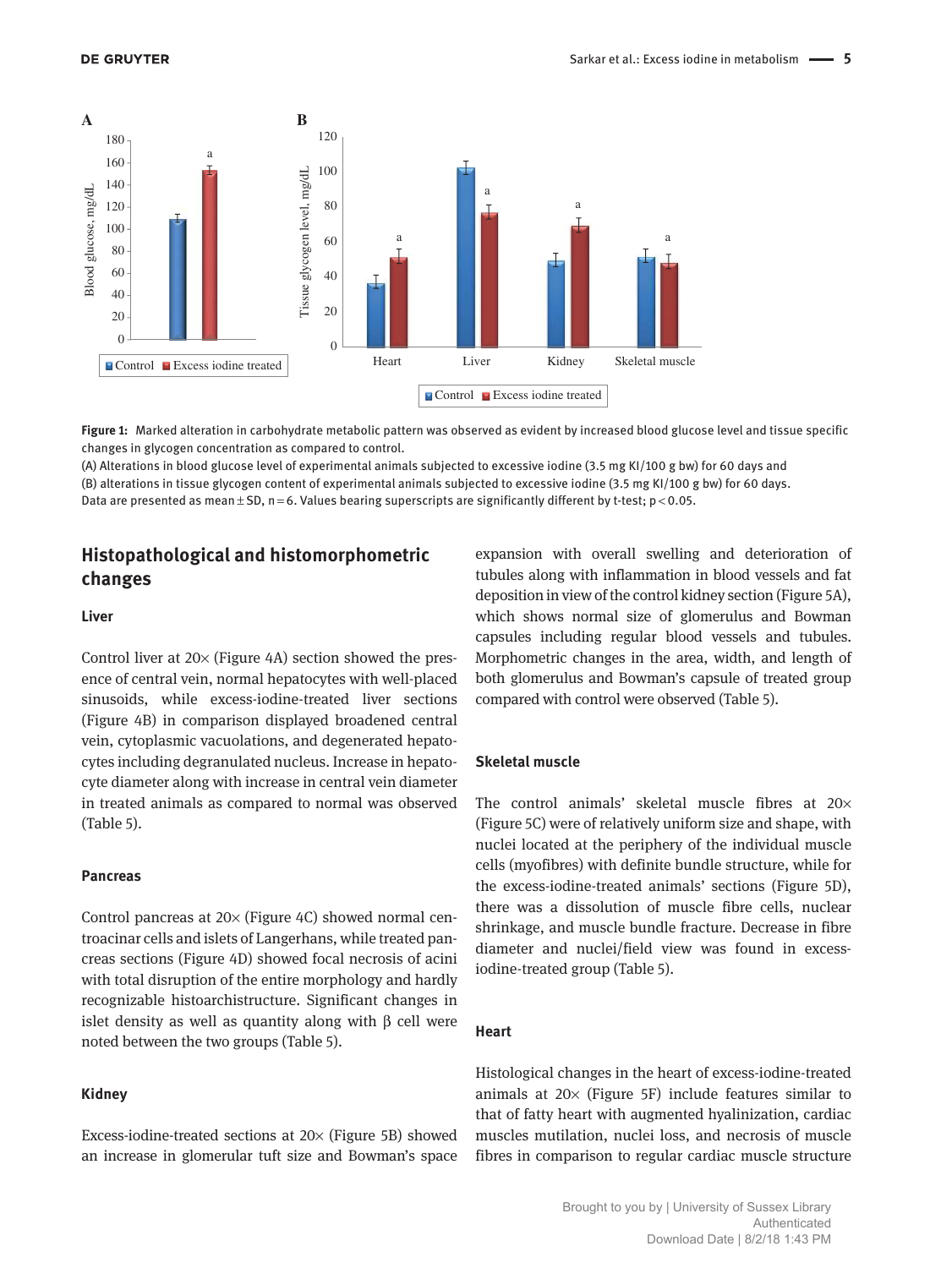

**Figure 1:** Marked alteration in carbohydrate metabolic pattern was observed as evident by increased blood glucose level and tissue specific changes in glycogen concentration as compared to control.

(A) Alterations in blood glucose level of experimental animals subjected to excessive iodine (3.5 mg KI/100 g bw) for 60 days and (B) alterations in tissue glycogen content of experimental animals subjected to excessive iodine (3.5 mg KI/100 g bw) for 60 days. Data are presented as mean $\pm$ SD, n $=$ 6. Values bearing superscripts are significantly different by t-test; p < 0.05.

### **Histopathological and histomorphometric changes**

#### **Liver**

Control liver at  $20 \times$  (Figure 4A) section showed the presence of central vein, normal hepatocytes with well-placed sinusoids, while excess-iodine-treated liver sections (Figure 4B) in comparison displayed broadened central vein, cytoplasmic vacuolations, and degenerated hepatocytes including degranulated nucleus. Increase in hepatocyte diameter along with increase in central vein diameter in treated animals as compared to normal was observed (Table 5).

### **Pancreas**

Control pancreas at 20× (Figure 4C) showed normal centroacinar cells and islets of Langerhans, while treated pancreas sections (Figure 4D) showed focal necrosis of acini with total disruption of the entire morphology and hardly recognizable histoarchistructure. Significant changes in islet density as well as quantity along with β cell were noted between the two groups (Table 5).

### **Kidney**

Excess-iodine-treated sections at 20× (Figure 5B) showed an increase in glomerular tuft size and Bowman's space

expansion with overall swelling and deterioration of tubules along with inflammation in blood vessels and fat deposition in view of the control kidney section (Figure 5A), which shows normal size of glomerulus and Bowman capsules including regular blood vessels and tubules. Morphometric changes in the area, width, and length of both glomerulus and Bowman's capsule of treated group compared with control were observed (Table 5).

#### **Skeletal muscle**

The control animals' skeletal muscle fibres at 20× (Figure 5C) were of relatively uniform size and shape, with nuclei located at the periphery of the individual muscle cells (myofibres) with definite bundle structure, while for the excess-iodine-treated animals' sections (Figure 5D), there was a dissolution of muscle fibre cells, nuclear shrinkage, and muscle bundle fracture. Decrease in fibre diameter and nuclei/field view was found in excessiodine-treated group (Table 5).

### **Heart**

Histological changes in the heart of excess-iodine-treated animals at  $20\times$  (Figure 5F) include features similar to that of fatty heart with augmented hyalinization, cardiac muscles mutilation, nuclei loss, and necrosis of muscle fibres in comparison to regular cardiac muscle structure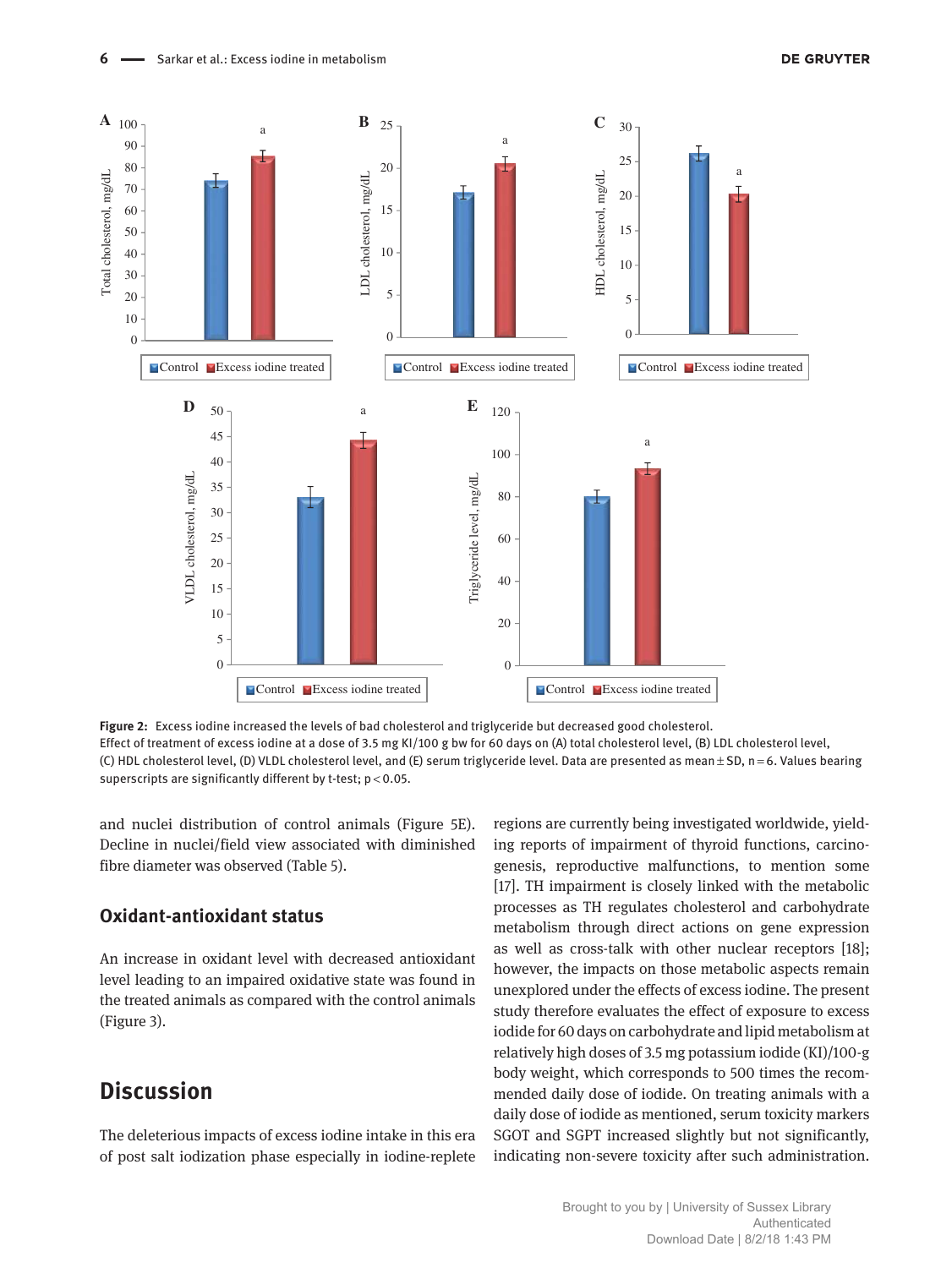

**Figure 2:** Excess iodine increased the levels of bad cholesterol and triglyceride but decreased good cholesterol. Effect of treatment of excess iodine at a dose of 3.5 mg KI/100 g bw for 60 days on (A) total cholesterol level, (B) LDL cholesterol level, (C) HDL cholesterol level, (D) VLDL cholesterol level, and (E) serum triglyceride level. Data are presented as mean ± SD, n = 6. Values bearing superscripts are significantly different by t-test; p < 0.05.

and nuclei distribution of control animals (Figure 5E). Decline in nuclei/field view associated with diminished fibre diameter was observed (Table 5).

### **Oxidant-antioxidant status**

An increase in oxidant level with decreased antioxidant level leading to an impaired oxidative state was found in the treated animals as compared with the control animals (Figure 3).

## **Discussion**

The deleterious impacts of excess iodine intake in this era of post salt iodization phase especially in iodine-replete regions are currently being investigated worldwide, yielding reports of impairment of thyroid functions, carcinogenesis, reproductive malfunctions, to mention some [17]. TH impairment is closely linked with the metabolic processes as TH regulates cholesterol and carbohydrate metabolism through direct actions on gene expression as well as cross-talk with other nuclear receptors [18]; however, the impacts on those metabolic aspects remain unexplored under the effects of excess iodine. The present study therefore evaluates the effect of exposure to excess iodide for 60 days on carbohydrate and lipid metabolism at relatively high doses of 3.5 mg potassium iodide (KI)/100-g body weight, which corresponds to 500 times the recommended daily dose of iodide. On treating animals with a daily dose of iodide as mentioned, serum toxicity markers SGOT and SGPT increased slightly but not significantly, indicating non-severe toxicity after such administration.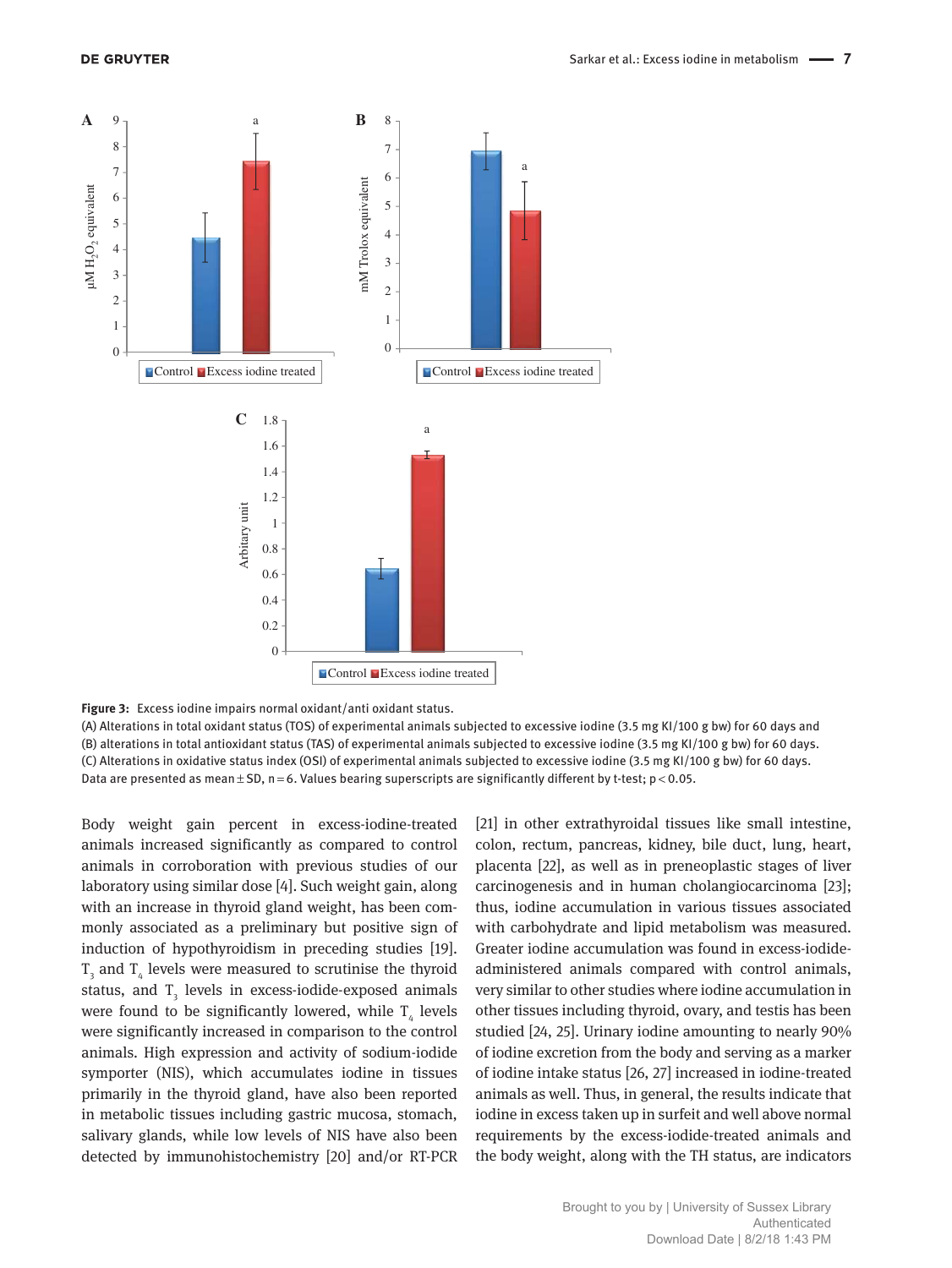

**Figure 3:** Excess iodine impairs normal oxidant/anti oxidant status.

(A) Alterations in total oxidant status (TOS) of experimental animals subjected to excessive iodine (3.5 mg KI/100 g bw) for 60 days and (B) alterations in total antioxidant status (TAS) of experimental animals subjected to excessive iodine (3.5 mg KI/100 g bw) for 60 days. (C) Alterations in oxidative status index (OSI) of experimental animals subjected to excessive iodine (3.5 mg KI/100 g bw) for 60 days. Data are presented as mean  $\pm$  SD, n = 6. Values bearing superscripts are significantly different by t-test; p < 0.05.

Body weight gain percent in excess-iodine-treated animals increased significantly as compared to control animals in corroboration with previous studies of our laboratory using similar dose [4]. Such weight gain, along with an increase in thyroid gland weight, has been commonly associated as a preliminary but positive sign of induction of hypothyroidism in preceding studies [19].  $T_3$  and  $T_4$  levels were measured to scrutinise the thyroid status, and  $T_{3}$  levels in excess-iodide-exposed animals were found to be significantly lowered, while  $T_4$  levels were significantly increased in comparison to the control animals. High expression and activity of sodium-iodide symporter (NIS), which accumulates iodine in tissues primarily in the thyroid gland, have also been reported in metabolic tissues including gastric mucosa, stomach, salivary glands, while low levels of NIS have also been detected by immunohistochemistry [20] and/or RT-PCR

[21] in other extrathyroidal tissues like small intestine, colon, rectum, pancreas, kidney, bile duct, lung, heart, placenta [22], as well as in preneoplastic stages of liver carcinogenesis and in human cholangiocarcinoma [23]; thus, iodine accumulation in various tissues associated with carbohydrate and lipid metabolism was measured. Greater iodine accumulation was found in excess-iodideadministered animals compared with control animals, very similar to other studies where iodine accumulation in other tissues including thyroid, ovary, and testis has been studied [24, 25]. Urinary iodine amounting to nearly 90% of iodine excretion from the body and serving as a marker of iodine intake status [26, 27] increased in iodine-treated animals as well. Thus, in general, the results indicate that iodine in excess taken up in surfeit and well above normal requirements by the excess-iodide-treated animals and the body weight, along with the TH status, are indicators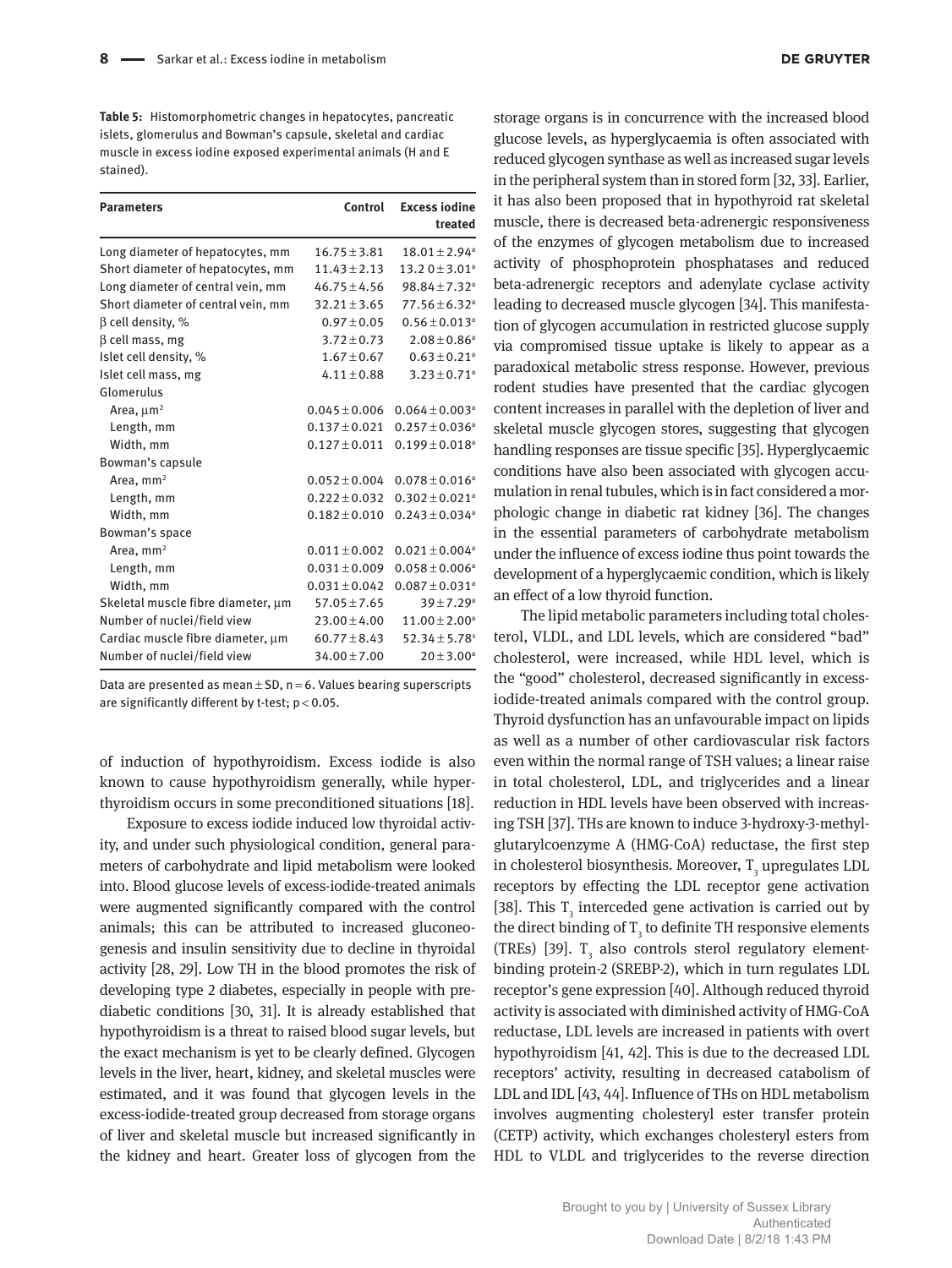**Table 5:** Histomorphometric changes in hepatocytes, pancreatic islets, glomerulus and Bowman's capsule, skeletal and cardiac muscle in excess iodine exposed experimental animals (H and E stained).

| <b>Parameters</b>                  | Control           | <b>Excess jodine</b><br>treated |
|------------------------------------|-------------------|---------------------------------|
| Long diameter of hepatocytes, mm   | $16.75 \pm 3.81$  | $18.01 \pm 2.94^a$              |
| Short diameter of hepatocytes, mm  | $11.43 \pm 2.13$  | $13.20 \pm 3.01$ <sup>a</sup>   |
| Long diameter of central vein, mm  | $46.75 \pm 4.56$  | $98.84 \pm 7.32$ <sup>a</sup>   |
| Short diameter of central vein, mm | $32.21 \pm 3.65$  | $77.56 \pm 6.32$ <sup>a</sup>   |
| $\beta$ cell density, %            | $0.97 \pm 0.05$   | $0.56 \pm 0.013$ <sup>a</sup>   |
| $\beta$ cell mass, mg              | $3.72 \pm 0.73$   | $2.08 \pm 0.86^a$               |
| Islet cell density, %              | $1.67 \pm 0.67$   | $0.63 \pm 0.21$ <sup>a</sup>    |
| Islet cell mass, mg                | $4.11 \pm 0.88$   | $3.23 \pm 0.71$ <sup>a</sup>    |
| Glomerulus                         |                   |                                 |
| Area, $\mu m^2$                    | $0.045 \pm 0.006$ | $0.064 \pm 0.003$ <sup>a</sup>  |
| Length, mm                         | $0.137 \pm 0.021$ | $0.257 \pm 0.036$ <sup>a</sup>  |
| Width, mm                          | $0.127 \pm 0.011$ | $0.199 \pm 0.018$ <sup>a</sup>  |
| Bowman's capsule                   |                   |                                 |
| Area, mm <sup>2</sup>              | $0.052 \pm 0.004$ | $0.078 \pm 0.016^a$             |
| Length, mm                         | $0.222 \pm 0.032$ | $0.302 \pm 0.021$ <sup>a</sup>  |
| Width, mm                          | $0.182 \pm 0.010$ | $0.243 \pm 0.034$ <sup>a</sup>  |
| Bowman's space                     |                   |                                 |
| Area, $mm2$                        | $0.011 \pm 0.002$ | $0.021 \pm 0.004$ <sup>a</sup>  |
| Length, mm                         | $0.031 \pm 0.009$ | $0.058 \pm 0.006$ <sup>a</sup>  |
| Width, mm                          | $0.031 \pm 0.042$ | $0.087 \pm 0.031$ <sup>a</sup>  |
| Skeletal muscle fibre diameter, um | $57.05 \pm 7.65$  | $39 \pm 7.29^a$                 |
| Number of nuclei/field view        | $23.00 \pm 4.00$  | $11.00 \pm 2.00^a$              |
| Cardiac muscle fibre diameter, um  | $60.77 \pm 8.43$  | 52.34 $\pm$ 5.78 <sup>s</sup>   |
| Number of nuclei/field view        | $34.00 \pm 7.00$  | $20 \pm 3.00^a$                 |

Data are presented as mean $\pm$ SD, n = 6. Values bearing superscripts are significantly different by t-test; p < 0.05.

of induction of hypothyroidism. Excess iodide is also known to cause hypothyroidism generally, while hyperthyroidism occurs in some preconditioned situations [18].

Exposure to excess iodide induced low thyroidal activity, and under such physiological condition, general parameters of carbohydrate and lipid metabolism were looked into. Blood glucose levels of excess-iodide-treated animals were augmented significantly compared with the control animals; this can be attributed to increased gluconeogenesis and insulin sensitivity due to decline in thyroidal activity [28, 29]. Low TH in the blood promotes the risk of developing type 2 diabetes, especially in people with prediabetic conditions [30, 31]. It is already established that hypothyroidism is a threat to raised blood sugar levels, but the exact mechanism is yet to be clearly defined. Glycogen levels in the liver, heart, kidney, and skeletal muscles were estimated, and it was found that glycogen levels in the excess-iodide-treated group decreased from storage organs of liver and skeletal muscle but increased significantly in the kidney and heart. Greater loss of glycogen from the storage organs is in concurrence with the increased blood glucose levels, as hyperglycaemia is often associated with reduced glycogen synthase as well as increased sugar levels in the peripheral system than in stored form [32, 33]. Earlier, it has also been proposed that in hypothyroid rat skeletal muscle, there is decreased beta-adrenergic responsiveness of the enzymes of glycogen metabolism due to increased activity of phosphoprotein phosphatases and reduced beta-adrenergic receptors and adenylate cyclase activity leading to decreased muscle glycogen [34]. This manifestation of glycogen accumulation in restricted glucose supply via compromised tissue uptake is likely to appear as a paradoxical metabolic stress response. However, previous rodent studies have presented that the cardiac glycogen content increases in parallel with the depletion of liver and skeletal muscle glycogen stores, suggesting that glycogen handling responses are tissue specific [35]. Hyperglycaemic conditions have also been associated with glycogen accumulation in renal tubules, which is in fact considered a morphologic change in diabetic rat kidney [36]. The changes in the essential parameters of carbohydrate metabolism under the influence of excess iodine thus point towards the development of a hyperglycaemic condition, which is likely an effect of a low thyroid function.

The lipid metabolic parameters including total cholesterol, VLDL, and LDL levels, which are considered "bad" cholesterol, were increased, while HDL level, which is the "good" cholesterol, decreased significantly in excessiodide-treated animals compared with the control group. Thyroid dysfunction has an unfavourable impact on lipids as well as a number of other cardiovascular risk factors even within the normal range of TSH values; a linear raise in total cholesterol, LDL, and triglycerides and a linear reduction in HDL levels have been observed with increasing TSH [37]. THs are known to induce 3-hydroxy-3-methylglutarylcoenzyme A (HMG-CoA) reductase, the first step in cholesterol biosynthesis. Moreover,  ${\tt T}_{\mathfrak z}$  upregulates  ${\rm LDL}$ receptors by effecting the LDL receptor gene activation [38]. This  $T_{3}$  interceded gene activation is carried out by the direct binding of  $\text{T}_\text{3}$  to definite TH responsive elements (TREs) [39].  $T<sub>3</sub>$  also controls sterol regulatory elementbinding protein-2 (SREBP-2), which in turn regulates LDL receptor's gene expression [40]. Although reduced thyroid activity is associated with diminished activity of HMG-CoA reductase, LDL levels are increased in patients with overt hypothyroidism [41, 42]. This is due to the decreased LDL receptors' activity, resulting in decreased catabolism of LDL and IDL [43, 44]. Influence of THs on HDL metabolism involves augmenting cholesteryl ester transfer protein (CETP) activity, which exchanges cholesteryl esters from HDL to VLDL and triglycerides to the reverse direction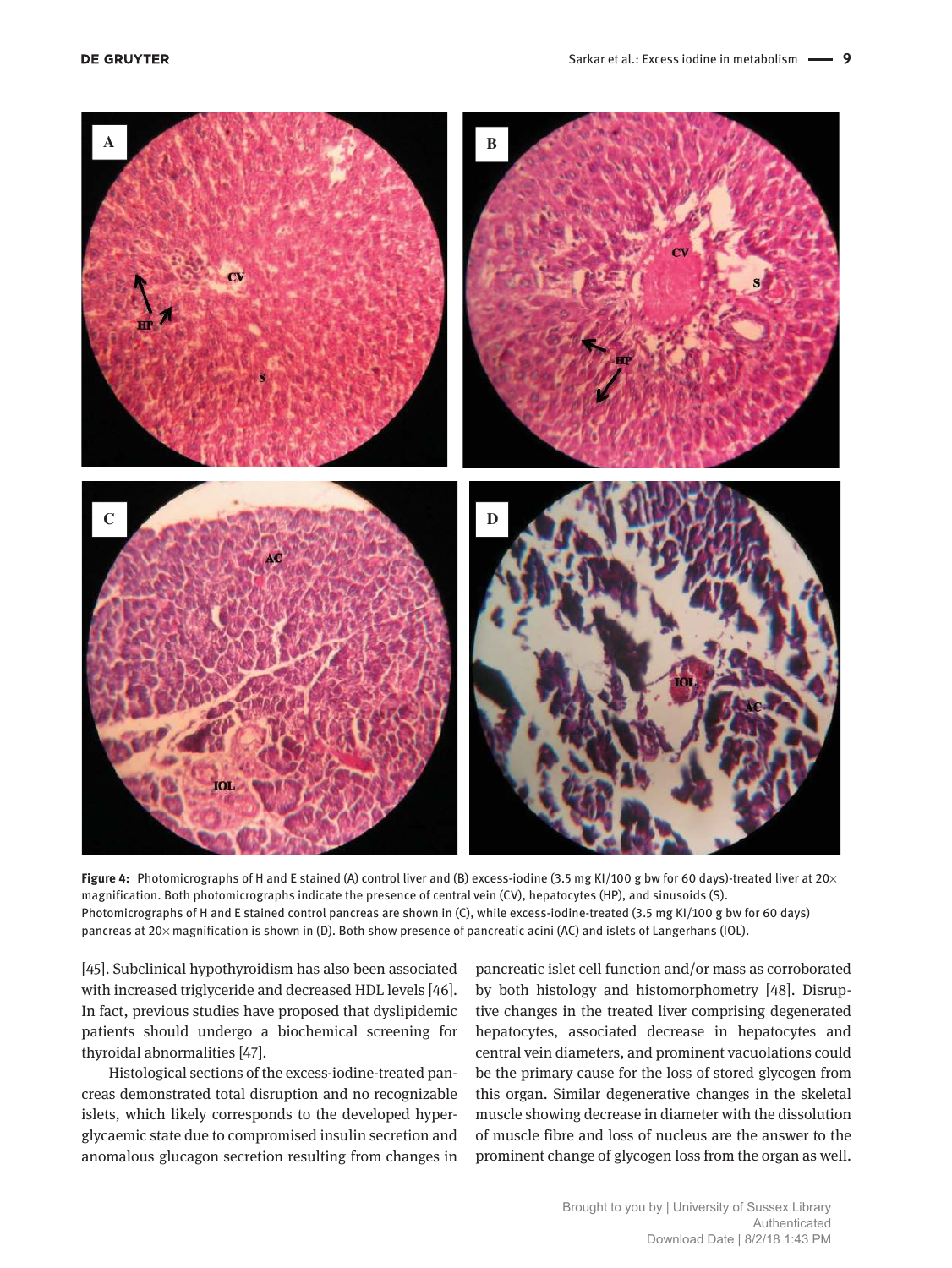

**Figure 4:** Photomicrographs of H and E stained (A) control liver and (B) excess-iodine (3.5 mg KI/100 g bw for 60 days)-treated liver at 20× magnification. Both photomicrographs indicate the presence of central vein (CV), hepatocytes (HP), and sinusoids (S). Photomicrographs of H and E stained control pancreas are shown in (C), while excess-iodine-treated (3.5 mg KI/100 g bw for 60 days) pancreas at 20× magnification is shown in (D). Both show presence of pancreatic acini (AC) and islets of Langerhans (IOL).

[45]. Subclinical hypothyroidism has also been associated with increased triglyceride and decreased HDL levels [46]. In fact, previous studies have proposed that dyslipidemic patients should undergo a biochemical screening for thyroidal abnormalities [47].

Histological sections of the excess-iodine-treated pancreas demonstrated total disruption and no recognizable islets, which likely corresponds to the developed hyperglycaemic state due to compromised insulin secretion and anomalous glucagon secretion resulting from changes in pancreatic islet cell function and/or mass as corroborated by both histology and histomorphometry [48]. Disruptive changes in the treated liver comprising degenerated hepatocytes, associated decrease in hepatocytes and central vein diameters, and prominent vacuolations could be the primary cause for the loss of stored glycogen from this organ. Similar degenerative changes in the skeletal muscle showing decrease in diameter with the dissolution of muscle fibre and loss of nucleus are the answer to the prominent change of glycogen loss from the organ as well.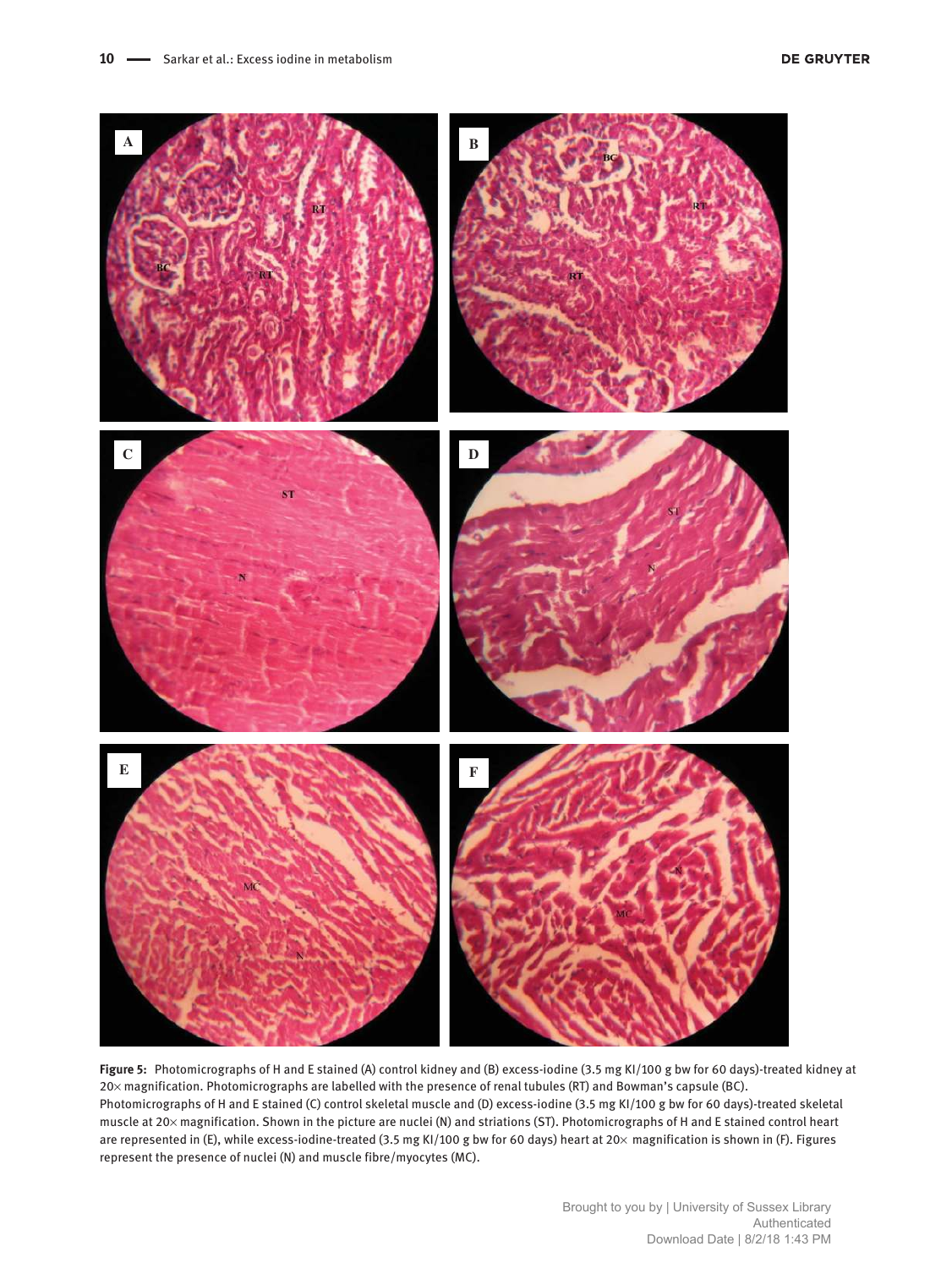

**Figure 5:** Photomicrographs of H and E stained (A) control kidney and (B) excess-iodine (3.5 mg KI/100 g bw for 60 days)-treated kidney at 20× magnification. Photomicrographs are labelled with the presence of renal tubules (RT) and Bowman's capsule (BC). Photomicrographs of H and E stained (C) control skeletal muscle and (D) excess-iodine (3.5 mg KI/100 g bw for 60 days)-treated skeletal muscle at 20× magnification. Shown in the picture are nuclei (N) and striations (ST). Photomicrographs of H and E stained control heart are represented in (E), while excess-iodine-treated (3.5 mg KI/100 g bw for 60 days) heart at 20× magnification is shown in (F). Figures represent the presence of nuclei (N) and muscle fibre/myocytes (MC).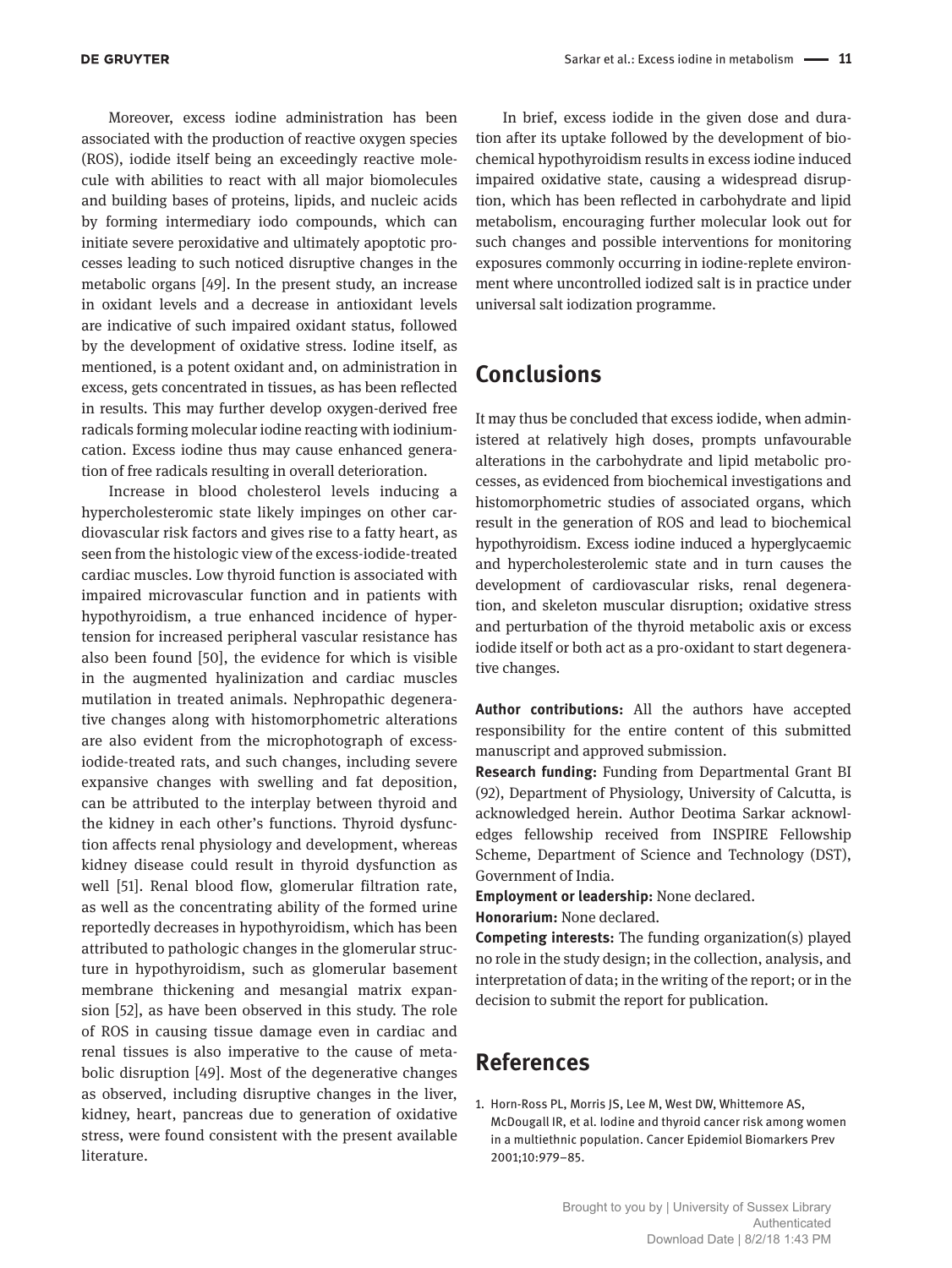Moreover, excess iodine administration has been associated with the production of reactive oxygen species (ROS), iodide itself being an exceedingly reactive molecule with abilities to react with all major biomolecules and building bases of proteins, lipids, and nucleic acids by forming intermediary iodo compounds, which can initiate severe peroxidative and ultimately apoptotic processes leading to such noticed disruptive changes in the metabolic organs [49]. In the present study, an increase in oxidant levels and a decrease in antioxidant levels are indicative of such impaired oxidant status, followed by the development of oxidative stress. Iodine itself, as mentioned, is a potent oxidant and, on administration in excess, gets concentrated in tissues, as has been reflected in results. This may further develop oxygen-derived free radicals forming molecular iodine reacting with iodiniumcation. Excess iodine thus may cause enhanced generation of free radicals resulting in overall deterioration.

Increase in blood cholesterol levels inducing a hypercholesteromic state likely impinges on other cardiovascular risk factors and gives rise to a fatty heart, as seen from the histologic view of the excess-iodide-treated cardiac muscles. Low thyroid function is associated with impaired microvascular function and in patients with hypothyroidism, a true enhanced incidence of hypertension for increased peripheral vascular resistance has also been found [50], the evidence for which is visible in the augmented hyalinization and cardiac muscles mutilation in treated animals. Nephropathic degenerative changes along with histomorphometric alterations are also evident from the microphotograph of excessiodide-treated rats, and such changes, including severe expansive changes with swelling and fat deposition, can be attributed to the interplay between thyroid and the kidney in each other's functions. Thyroid dysfunction affects renal physiology and development, whereas kidney disease could result in thyroid dysfunction as well [51]. Renal blood flow, glomerular filtration rate, as well as the concentrating ability of the formed urine reportedly decreases in hypothyroidism, which has been attributed to pathologic changes in the glomerular structure in hypothyroidism, such as glomerular basement membrane thickening and mesangial matrix expansion [52], as have been observed in this study. The role of ROS in causing tissue damage even in cardiac and renal tissues is also imperative to the cause of metabolic disruption [49]. Most of the degenerative changes as observed, including disruptive changes in the liver, kidney, heart, pancreas due to generation of oxidative stress, were found consistent with the present available literature.

In brief, excess iodide in the given dose and duration after its uptake followed by the development of biochemical hypothyroidism results in excess iodine induced impaired oxidative state, causing a widespread disruption, which has been reflected in carbohydrate and lipid metabolism, encouraging further molecular look out for such changes and possible interventions for monitoring exposures commonly occurring in iodine-replete environment where uncontrolled iodized salt is in practice under universal salt iodization programme.

## **Conclusions**

It may thus be concluded that excess iodide, when administered at relatively high doses, prompts unfavourable alterations in the carbohydrate and lipid metabolic processes, as evidenced from biochemical investigations and histomorphometric studies of associated organs, which result in the generation of ROS and lead to biochemical hypothyroidism. Excess iodine induced a hyperglycaemic and hypercholesterolemic state and in turn causes the development of cardiovascular risks, renal degeneration, and skeleton muscular disruption; oxidative stress and perturbation of the thyroid metabolic axis or excess iodide itself or both act as a pro-oxidant to start degenerative changes.

**Author contributions:** All the authors have accepted responsibility for the entire content of this submitted manuscript and approved submission.

**Research funding:** Funding from Departmental Grant BI (92), Department of Physiology, University of Calcutta, is acknowledged herein. Author Deotima Sarkar acknowledges fellowship received from INSPIRE Fellowship Scheme, Department of Science and Technology (DST), Government of India.

**Employment or leadership:** None declared.

**Honorarium:** None declared.

**Competing interests:** The funding organization(s) played no role in the study design; in the collection, analysis, and interpretation of data; in the writing of the report; or in the decision to submit the report for publication.

## **References**

1. Horn-Ross PL, Morris JS, Lee M, West DW, Whittemore AS, McDougall IR, et al. Iodine and thyroid cancer risk among women in a multiethnic population. Cancer Epidemiol Biomarkers Prev 2001;10:979–85.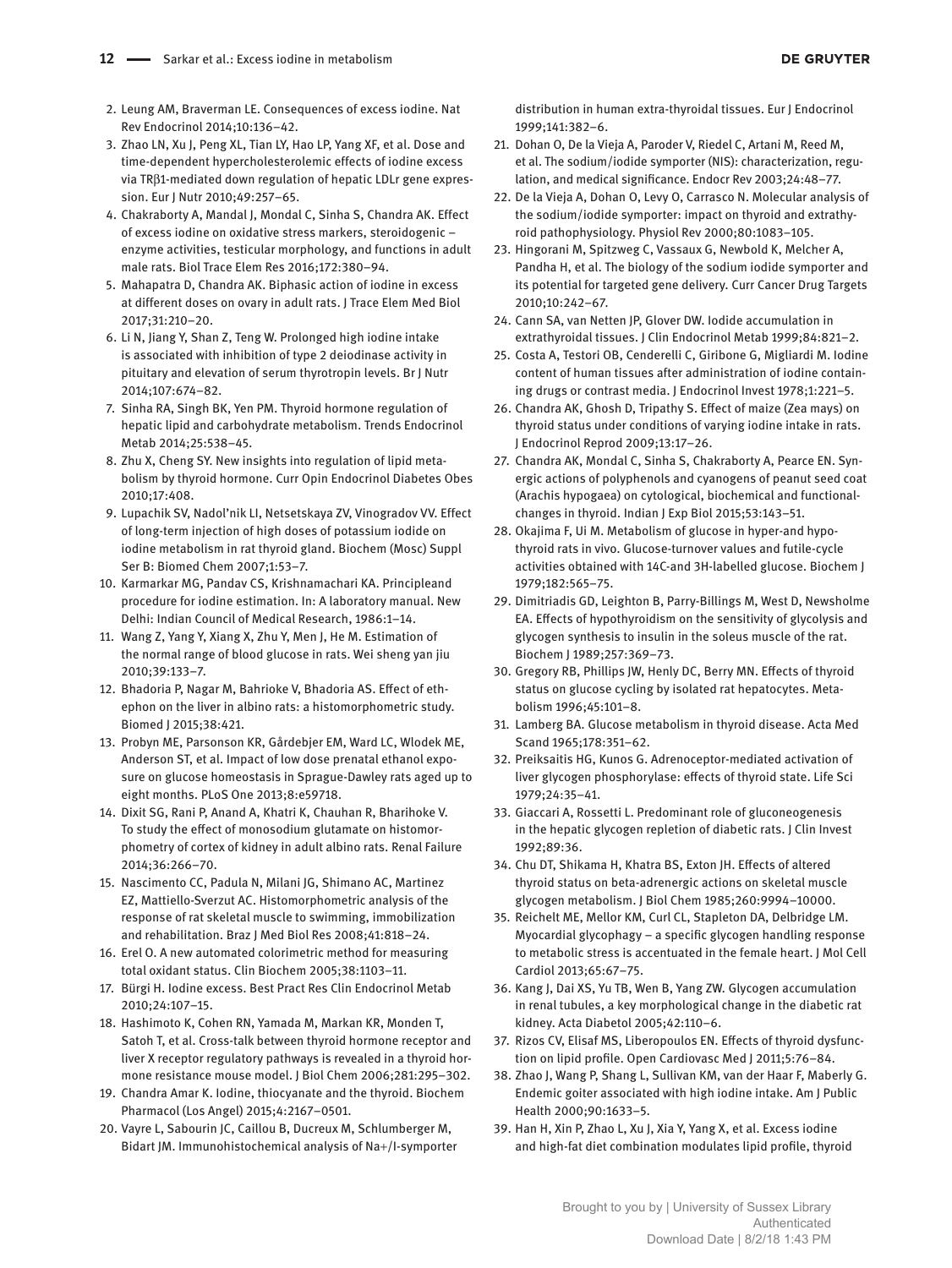- 2. Leung AM, Braverman LE. Consequences of excess iodine. Nat Rev Endocrinol 2014;10:136–42.
- 3. Zhao LN, Xu J, Peng XL, Tian LY, Hao LP, Yang XF, et al. Dose and time-dependent hypercholesterolemic effects of iodine excess via TRβ1-mediated down regulation of hepatic LDLr gene expression. Eur J Nutr 2010;49:257–65.
- 4. Chakraborty A, Mandal J, Mondal C, Sinha S, Chandra AK. Effect of excess iodine on oxidative stress markers, steroidogenic – enzyme activities, testicular morphology, and functions in adult male rats. Biol Trace Elem Res 2016;172:380–94.
- 5. Mahapatra D, Chandra AK. Biphasic action of iodine in excess at different doses on ovary in adult rats. J Trace Elem Med Biol 2017;31:210–20.
- 6. Li N, Jiang Y, Shan Z, Teng W. Prolonged high iodine intake is associated with inhibition of type 2 deiodinase activity in pituitary and elevation of serum thyrotropin levels. Br J Nutr 2014;107:674–82.
- 7. Sinha RA, Singh BK, Yen PM. Thyroid hormone regulation of hepatic lipid and carbohydrate metabolism. Trends Endocrinol Metab 2014;25:538–45.
- 8. Zhu X, Cheng SY. New insights into regulation of lipid metabolism by thyroid hormone. Curr Opin Endocrinol Diabetes Obes 2010;17:408.
- 9. Lupachik SV, Nadol'nik LI, Netsetskaya ZV, Vinogradov VV. Effect of long-term injection of high doses of potassium iodide on iodine metabolism in rat thyroid gland. Biochem (Mosc) Suppl Ser B: Biomed Chem 2007;1:53–7.
- 10. Karmarkar MG, Pandav CS, Krishnamachari KA. Principleand procedure for iodine estimation. In: A laboratory manual. New Delhi: Indian Council of Medical Research, 1986:1–14.
- 11. Wang Z, Yang Y, Xiang X, Zhu Y, Men J, He M. Estimation of the normal range of blood glucose in rats. Wei sheng yan jiu 2010;39:133–7.
- 12. Bhadoria P, Nagar M, Bahrioke V, Bhadoria AS. Effect of ethephon on the liver in albino rats: a histomorphometric study. Biomed J 2015;38:421.
- 13. Probyn ME, Parsonson KR, Gårdebjer EM, Ward LC, Wlodek ME, Anderson ST, et al. Impact of low dose prenatal ethanol exposure on glucose homeostasis in Sprague-Dawley rats aged up to eight months. PLoS One 2013;8:e59718.
- 14. Dixit SG, Rani P, Anand A, Khatri K, Chauhan R, Bharihoke V. To study the effect of monosodium glutamate on histomorphometry of cortex of kidney in adult albino rats. Renal Failure 2014;36:266–70.
- 15. Nascimento CC, Padula N, Milani JG, Shimano AC, Martinez EZ, Mattiello-Sverzut AC. Histomorphometric analysis of the response of rat skeletal muscle to swimming, immobilization and rehabilitation. Braz J Med Biol Res 2008;41:818–24.
- 16. Erel O. A new automated colorimetric method for measuring total oxidant status. Clin Biochem 2005;38:1103–11.
- 17. Bürgi H. Iodine excess. Best Pract Res Clin Endocrinol Metab 2010;24:107–15.
- 18. Hashimoto K, Cohen RN, Yamada M, Markan KR, Monden T, Satoh T, et al. Cross-talk between thyroid hormone receptor and liver X receptor regulatory pathways is revealed in a thyroid hormone resistance mouse model. J Biol Chem 2006;281:295–302.
- 19. Chandra Amar K. Iodine, thiocyanate and the thyroid. Biochem Pharmacol (Los Angel) 2015;4:2167–0501.
- 20. Vayre L, Sabourin JC, Caillou B, Ducreux M, Schlumberger M, Bidart JM. Immunohistochemical analysis of Na+/I-symporter

distribution in human extra-thyroidal tissues. Eur J Endocrinol 1999;141:382–6.

- 21. Dohan O, De la Vieja A, Paroder V, Riedel C, Artani M, Reed M, et al. The sodium/iodide symporter (NIS): characterization, regulation, and medical significance. Endocr Rev 2003;24:48–77.
- 22. De la Vieja A, Dohan O, Levy O, Carrasco N. Molecular analysis of the sodium/iodide symporter: impact on thyroid and extrathyroid pathophysiology. Physiol Rev 2000;80:1083–105.
- 23. Hingorani M, Spitzweg C, Vassaux G, Newbold K, Melcher A, Pandha H, et al. The biology of the sodium iodide symporter and its potential for targeted gene delivery. Curr Cancer Drug Targets 2010;10:242–67.
- 24. Cann SA, van Netten JP, Glover DW. Iodide accumulation in extrathyroidal tissues. J Clin Endocrinol Metab 1999;84:821–2.
- 25. Costa A, Testori OB, Cenderelli C, Giribone G, Migliardi M. Iodine content of human tissues after administration of iodine containing drugs or contrast media. J Endocrinol Invest 1978;1:221–5.
- 26. Chandra AK, Ghosh D, Tripathy S. Effect of maize (Zea mays) on thyroid status under conditions of varying iodine intake in rats. J Endocrinol Reprod 2009;13:17–26.
- 27. Chandra AK, Mondal C, Sinha S, Chakraborty A, Pearce EN. Synergic actions of polyphenols and cyanogens of peanut seed coat (Arachis hypogaea) on cytological, biochemical and functionalchanges in thyroid. Indian J Exp Biol 2015;53:143–51.
- 28. Okajima F, Ui M. Metabolism of glucose in hyper-and hypothyroid rats in vivo. Glucose-turnover values and futile-cycle activities obtained with 14C-and 3H-labelled glucose. Biochem J 1979;182:565–75.
- 29. Dimitriadis GD, Leighton B, Parry-Billings M, West D, Newsholme EA. Effects of hypothyroidism on the sensitivity of glycolysis and glycogen synthesis to insulin in the soleus muscle of the rat. Biochem J 1989;257:369–73.
- 30. Gregory RB, Phillips JW, Henly DC, Berry MN. Effects of thyroid status on glucose cycling by isolated rat hepatocytes. Metabolism 1996;45:101–8.
- 31. Lamberg BA. Glucose metabolism in thyroid disease. Acta Med Scand 1965;178:351–62.
- 32. Preiksaitis HG, Kunos G. Adrenoceptor-mediated activation of liver glycogen phosphorylase: effects of thyroid state. Life Sci 1979;24:35–41.
- 33. Giaccari A, Rossetti L. Predominant role of gluconeogenesis in the hepatic glycogen repletion of diabetic rats. J Clin Invest 1992;89:36.
- 34. Chu DT, Shikama H, Khatra BS, Exton JH. Effects of altered thyroid status on beta-adrenergic actions on skeletal muscle glycogen metabolism. J Biol Chem 1985;260:9994–10000.
- 35. Reichelt ME, Mellor KM, Curl CL, Stapleton DA, Delbridge LM. Myocardial glycophagy – a specific glycogen handling response to metabolic stress is accentuated in the female heart. J Mol Cell Cardiol 2013;65:67–75.
- 36. Kang J, Dai XS, Yu TB, Wen B, Yang ZW. Glycogen accumulation in renal tubules, a key morphological change in the diabetic rat kidney. Acta Diabetol 2005;42:110–6.
- 37. Rizos CV, Elisaf MS, Liberopoulos EN. Effects of thyroid dysfunction on lipid profile. Open Cardiovasc Med J 2011;5:76–84.
- 38. Zhao J, Wang P, Shang L, Sullivan KM, van der Haar F, Maberly G. Endemic goiter associated with high iodine intake. Am J Public Health 2000;90:1633–5.
- 39. Han H, Xin P, Zhao L, Xu J, Xia Y, Yang X, et al. Excess iodine and high-fat diet combination modulates lipid profile, thyroid